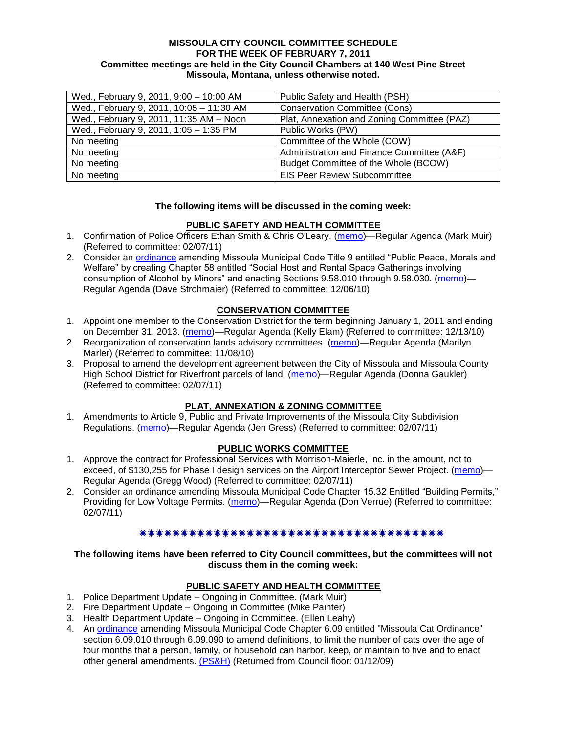#### **MISSOULA CITY COUNCIL COMMITTEE SCHEDULE FOR THE WEEK OF FEBRUARY 7, 2011 Committee meetings are held in the City Council Chambers at 140 West Pine Street Missoula, Montana, unless otherwise noted.**

| Wed., February 9, 2011, 9:00 - 10:00 AM  | Public Safety and Health (PSH)              |
|------------------------------------------|---------------------------------------------|
| Wed., February 9, 2011, 10:05 - 11:30 AM | <b>Conservation Committee (Cons)</b>        |
| Wed., February 9, 2011, 11:35 AM - Noon  | Plat, Annexation and Zoning Committee (PAZ) |
| Wed., February 9, 2011, 1:05 - 1:35 PM   | Public Works (PW)                           |
| No meeting                               | Committee of the Whole (COW)                |
| No meeting                               | Administration and Finance Committee (A&F)  |
| No meeting                               | Budget Committee of the Whole (BCOW)        |
| No meeting                               | <b>EIS Peer Review Subcommittee</b>         |

### **The following items will be discussed in the coming week:**

## **PUBLIC SAFETY AND HEALTH COMMITTEE**

- 1. Confirmation of Police Officers Ethan Smith & Chris O'Leary. [\(memo\)](http://www.ci.missoula.mt.us/DocumentView.aspx?DID=5547)—Regular Agenda (Mark Muir) (Referred to committee: 02/07/11)
- 2. Consider an [ordinance](http://www.ci.missoula.mt.us/DocumentView.aspx?DID=5133) amending Missoula Municipal Code Title 9 entitled "Public Peace, Morals and Welfare" by creating Chapter 58 entitled "Social Host and Rental Space Gatherings involving consumption of Alcohol by Minors" and enacting Sections 9.58.010 through 9.58.030. [\(memo\)](http://www.ci.missoula.mt.us/DocumentView.aspx?DID=5149)— Regular Agenda (Dave Strohmaier) (Referred to committee: 12/06/10)

## **CONSERVATION COMMITTEE**

- 1. Appoint one member to the Conservation District for the term beginning January 1, 2011 and ending on December 31, 2013. [\(memo\)](http://www.ci.missoula.mt.us/DocumentView.aspx?DID=5204)—Regular Agenda (Kelly Elam) (Referred to committee: 12/13/10)
- 2. Reorganization of conservation lands advisory committees. [\(memo\)](http://www.ci.missoula.mt.us/DocumentView.aspx?DID=4957)—Regular Agenda (Marilyn Marler) (Referred to committee: 11/08/10)
- 3. Proposal to amend the development agreement between the City of Missoula and Missoula County High School District for Riverfront parcels of land. [\(memo\)](http://www.ci.missoula.mt.us/DocumentView.aspx?DID=5549)—Regular Agenda (Donna Gaukler) (Referred to committee: 02/07/11)

## **PLAT, ANNEXATION & ZONING COMMITTEE**

1. Amendments to Article 9, Public and Private Improvements of the Missoula City Subdivision Regulations. [\(memo\)](http://www.ci.missoula.mt.us/DocumentView.aspx?DID=5550)—Regular Agenda (Jen Gress) (Referred to committee: 02/07/11)

## **PUBLIC WORKS COMMITTEE**

- 1. Approve the contract for Professional Services with Morrison-Maierle, Inc. in the amount, not to exceed, of \$130,255 for Phase I design services on the Airport Interceptor Sewer Project. [\(memo\)](http://www.ci.missoula.mt.us/DocumentView.aspx?DID=5545)— Regular Agenda (Gregg Wood) (Referred to committee: 02/07/11)
- 2. Consider an ordinance amending Missoula Municipal Code Chapter 15.32 Entitled "Building Permits," Providing for Low Voltage Permits. [\(memo\)](http://www.ci.missoula.mt.us/DocumentView.aspx?DID=5548)—Regular Agenda (Don Verrue) (Referred to committee: 02/07/11)

#### \*\*\*\*\*\*\*\*\*\*\*\*\*\*\*\*\*\*\*\*\*\*\*\*\*\*\*\*\*\*\*\*\*\*\*

### **The following items have been referred to City Council committees, but the committees will not discuss them in the coming week:**

## **PUBLIC SAFETY AND HEALTH COMMITTEE**

- 1. Police Department Update Ongoing in Committee. (Mark Muir)
- 2. Fire Department Update Ongoing in Committee (Mike Painter)
- 3. Health Department Update Ongoing in Committee. (Ellen Leahy)
- 4. An [ordinance](ftp://ftp.ci.missoula.mt.us/Packets/Council/2008/2008-12-15/2008CatOrdinanceAmendment%5B1%5D.pdf) amending Missoula Municipal Code Chapter 6.09 entitled "Missoula Cat Ordinance" section 6.09.010 through 6.09.090 to amend definitions, to limit the number of cats over the age of four months that a person, family, or household can harbor, keep, or maintain to five and to enact other general amendments. [\(PS&H\)](ftp://ftp.ci.missoula.mt.us/Packets/Council/2008/2008-12-15/081210psh.pdf) (Returned from Council floor: 01/12/09)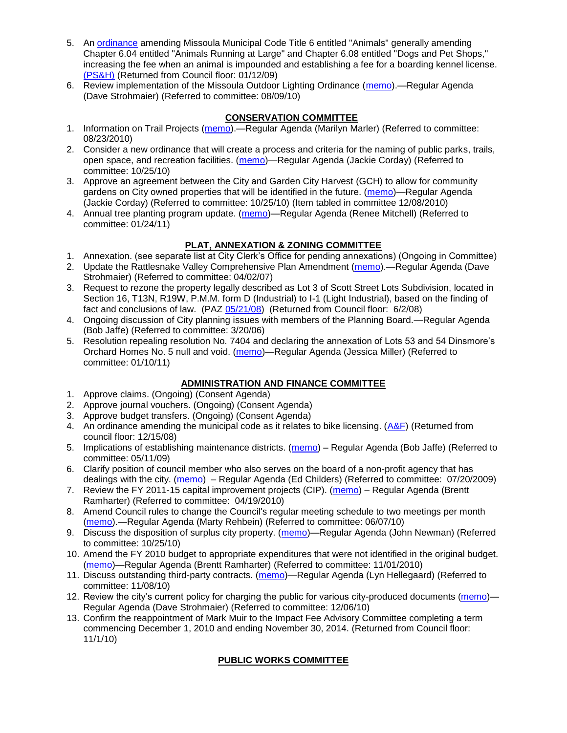- 5. An [ordinance](ftp://ftp.ci.missoula.mt.us/Packets/Council/2008/2008-12-15/DogOrdinance--PSHrevisions.pdf) amending Missoula Municipal Code Title 6 entitled "Animals" generally amending Chapter 6.04 entitled "Animals Running at Large" and Chapter 6.08 entitled "Dogs and Pet Shops," increasing the fee when an animal is impounded and establishing a fee for a boarding kennel license. [\(PS&H\)](ftp://ftp.ci.missoula.mt.us/Packets/Council/2008/2008-12-15/081210psh.pdf) (Returned from Council floor: 01/12/09)
- 6. Review implementation of the Missoula Outdoor Lighting Ordinance [\(memo\)](http://www.ci.missoula.mt.us/DocumentView.aspx?DID=4420).—Regular Agenda (Dave Strohmaier) (Referred to committee: 08/09/10)

# **CONSERVATION COMMITTEE**

- 1. Information on Trail Projects [\(memo\)](http://www.ci.missoula.mt.us/DocumentView.aspx?DID=4477).—Regular Agenda (Marilyn Marler) (Referred to committee: 08/23/2010)
- 2. Consider a new ordinance that will create a process and criteria for the naming of public parks, trails, open space, and recreation facilities. [\(memo\)](http://www.ci.missoula.mt.us/DocumentView.aspx?DID=4848)—Regular Agenda (Jackie Corday) (Referred to committee: 10/25/10)
- 3. Approve an agreement between the City and Garden City Harvest (GCH) to allow for community gardens on City owned properties that will be identified in the future. [\(memo\)](http://www.ci.missoula.mt.us/DocumentView.aspx?DID=4847)—Regular Agenda (Jackie Corday) (Referred to committee: 10/25/10) (Item tabled in committee 12/08/2010)
- 4. Annual tree planting program update. [\(memo\)](http://www.ci.missoula.mt.us/DocumentView.aspx?DID=5425)—Regular Agenda (Renee Mitchell) (Referred to committee: 01/24/11)

## **PLAT, ANNEXATION & ZONING COMMITTEE**

- 1. Annexation. (see separate list at City Clerk's Office for pending annexations) (Ongoing in Committee)
- 2. Update the Rattlesnake Valley Comprehensive Plan Amendment [\(memo\)](ftp://ftp.ci.missoula.mt.us/Packets/Council/2007/2007-04-02/Referrals/Rattlesnake_Plan_Update_referral.pdf).—Regular Agenda (Dave Strohmaier) (Referred to committee: 04/02/07)
- 3. Request to rezone the property legally described as Lot 3 of Scott Street Lots Subdivision, located in Section 16, T13N, R19W, P.M.M. form D (Industrial) to I-1 (Light Industrial), based on the finding of fact and conclusions of law. (PAZ [05/21/08\)](ftp://ftp.ci.missoula.mt.us/Packets/Council/2008/2008-06-02/080521paz.pdf) (Returned from Council floor: 6/2/08)
- 4. Ongoing discussion of City planning issues with members of the Planning Board.—Regular Agenda (Bob Jaffe) (Referred to committee: 3/20/06)
- 5. Resolution repealing resolution No. 7404 and declaring the annexation of Lots 53 and 54 Dinsmore's Orchard Homes No. 5 null and void. [\(memo\)](http://www.ci.missoula.mt.us/DocumentView.aspx?DID=5349)—Regular Agenda (Jessica Miller) (Referred to committee: 01/10/11)

# **ADMINISTRATION AND FINANCE COMMITTEE**

- 1. Approve claims. (Ongoing) (Consent Agenda)
- 2. Approve journal vouchers. (Ongoing) (Consent Agenda)
- 3. Approve budget transfers. (Ongoing) (Consent Agenda)
- 4. An ordinance amending the municipal code as it relates to bike licensing.  $(A\&F)$  (Returned from council floor: 12/15/08)
- 5. Implications of establishing maintenance districts. [\(memo\)](ftp://ftp.ci.missoula.mt.us/Packets/Council/2009/2009-05-11/Referrals/MaintenanceDistricts.pdf) Regular Agenda (Bob Jaffe) (Referred to committee: 05/11/09)
- 6. Clarify position of council member who also serves on the board of a non-profit agency that has dealings with the city. [\(memo\)](http://www.ci.missoula.mt.us/DocumentView.aspx?DID=1840) – Regular Agenda (Ed Childers) (Referred to committee: 07/20/2009)
- 7. Review the FY 2011-15 capital improvement projects (CIP). [\(memo\)](http://www.ci.missoula.mt.us/DocumentView.aspx?DID=3522) Regular Agenda (Brentt Ramharter) (Referred to committee: 04/19/2010)
- 8. Amend Council rules to change the Council's regular meeting schedule to two meetings per month [\(memo\)](http://www.ci.missoula.mt.us/DocumentView.aspx?DID=4027).—Regular Agenda (Marty Rehbein) (Referred to committee: 06/07/10)
- 9. Discuss the disposition of surplus city property. [\(memo\)](http://www.ci.missoula.mt.us/DocumentView.aspx?DID=4862)—Regular Agenda (John Newman) (Referred to committee: 10/25/10)
- 10. Amend the FY 2010 budget to appropriate expenditures that were not identified in the original budget. [\(memo\)](http://www.ci.missoula.mt.us/DocumentView.aspx?DID=4883)—Regular Agenda (Brentt Ramharter) (Referred to committee: 11/01/2010)
- 11. Discuss outstanding third-party contracts. [\(memo\)](http://www.ci.missoula.mt.us/DocumentView.aspx?DID=4956)—Regular Agenda (Lyn Hellegaard) (Referred to committee: 11/08/10)
- 12. Review the city's current policy for charging the public for various city-produced documents [\(memo\)](http://www.ci.missoula.mt.us/DocumentView.aspx?DID=5143) Regular Agenda (Dave Strohmaier) (Referred to committee: 12/06/10)
- 13. Confirm the reappointment of Mark Muir to the Impact Fee Advisory Committee completing a term commencing December 1, 2010 and ending November 30, 2014. (Returned from Council floor: 11/1/10)

# **PUBLIC WORKS COMMITTEE**